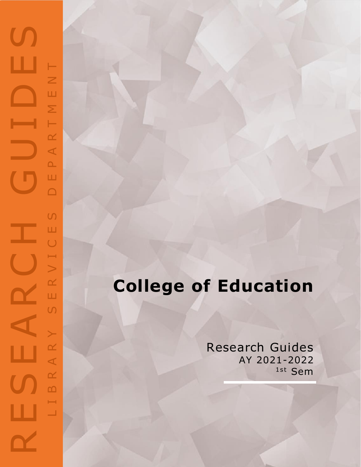## RESEARCH GUIDES  $\mathbf{C}$ ш NENT L I B R A R Y S E R V I C E S D E P A R T M E N TART  $\Delta$ Ш  $\Box$  $\overline{C}$ Ш a p  $\bigcup$  $\mapsto$  $\geq$  $\propto$  $\mathbf{\Omega}$ Ш  $\cup$  $\left. \right.$ AR ш  $\propto$  $\mathbf{r}$  $\mapsto$ ш  $\Box$

## **College of Education**

Research Guides AY 2021 -2022 1st Sem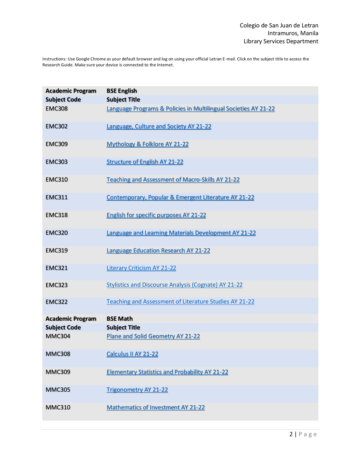Instructions: Use Google Chrome as your default browser and log on using your official Letran E-mail. Click on the subject title to access the Research Guide. Make sure your device is connected to the Internet.

| <b>Academic Program</b><br><b>Subject Code</b><br><b>EMC308</b> | <b>BSE English</b><br><b>Subject Title</b><br>Language Programs & Policies in Multilingual Societies AY 21-22 |
|-----------------------------------------------------------------|---------------------------------------------------------------------------------------------------------------|
| <b>EMC302</b>                                                   | Language, Culture and Society AY 21-22                                                                        |
| <b>EMC309</b>                                                   | <b>Mythology &amp; Folklore AY 21-22</b>                                                                      |
| <b>EMC303</b>                                                   | <b>Structure of English AY 21-22</b>                                                                          |
| <b>EMC310</b>                                                   | <b>Teaching and Assessment of Macro-Skills AY 21-22</b>                                                       |
| <b>EMC311</b>                                                   | Contemporary, Popular & Emergent Literature AY 21-22                                                          |
| <b>EMC318</b>                                                   | <b>English for specific purposes AY 21-22</b>                                                                 |
| <b>EMC320</b>                                                   | <b>Language and Learning Materials Development AY 21-22</b>                                                   |
| <b>EMC319</b>                                                   | <b>Language Education Research AY 21-22</b>                                                                   |
| <b>EMC321</b>                                                   | <b>Literary Criticism AY 21-22</b>                                                                            |
| <b>EMC323</b>                                                   | <b>Stylistics and Discourse Analysis (Cognate) AY 21-22</b>                                                   |
| <b>EMC322</b>                                                   | Teaching and Assessment of Literature Studies AY 21-22                                                        |
| <b>Academic Program</b>                                         | <b>BSE Math</b>                                                                                               |
| <b>Subject Code</b>                                             | <b>Subject Title</b>                                                                                          |
| <b>MMC304</b>                                                   | <b>Plane and Solid Geometry AY 21-22</b>                                                                      |
| <b>MMC308</b>                                                   | Calculus II AY 21-22                                                                                          |
| <b>MMC309</b>                                                   | <b>Elementary Statistics and Probability AY 21-22</b>                                                         |
| <b>MMC305</b>                                                   | <b>Trigonometry AY 21-22</b>                                                                                  |
| <b>MMC310</b>                                                   | <b>Mathematics of Investment AY 21-22</b>                                                                     |